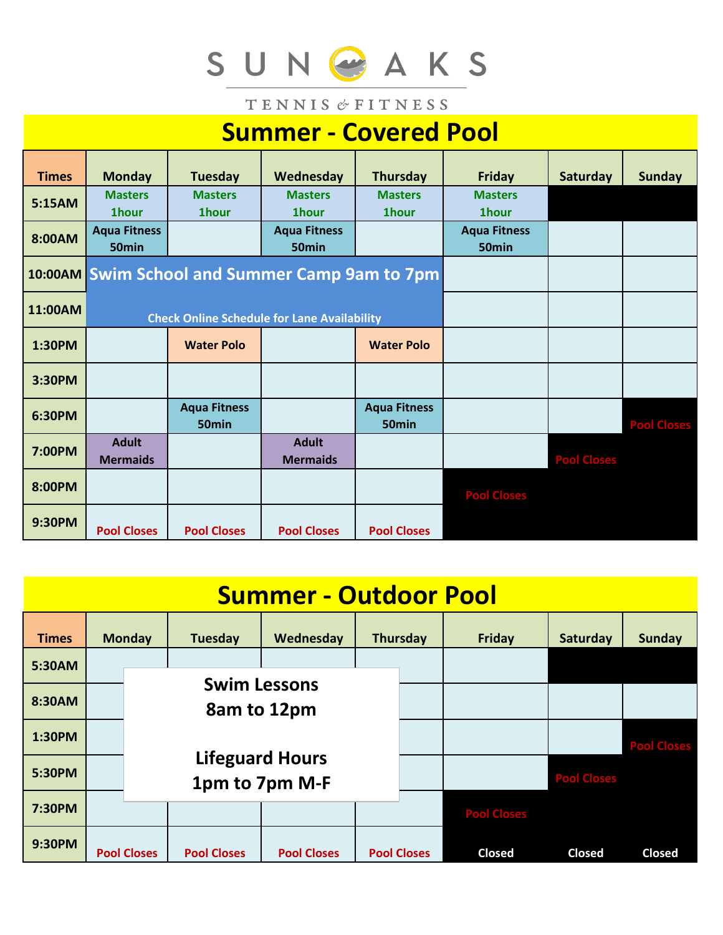# SUNGAKS

TENNIS & FITNESS

# **Summer - Covered Pool**

| <b>Times</b> | <b>Monday</b>                            | <b>Tuesday</b>                                     | Wednesday                                | <b>Thursday</b>                          | <b>Friday</b>                  | <b>Saturday</b>    | <b>Sunday</b>      |
|--------------|------------------------------------------|----------------------------------------------------|------------------------------------------|------------------------------------------|--------------------------------|--------------------|--------------------|
| 5:15AM       | <b>Masters</b><br><b>1hour</b>           | <b>Masters</b><br>1hour                            | <b>Masters</b><br><b>1hour</b>           | <b>Masters</b><br><b>1hour</b>           | <b>Masters</b><br><b>1hour</b> |                    |                    |
| 8:00AM       | <b>Aqua Fitness</b><br>50 <sub>min</sub> |                                                    | <b>Aqua Fitness</b><br>50 <sub>min</sub> |                                          | <b>Aqua Fitness</b><br>50min   |                    |                    |
|              |                                          | 10:00AM Swim School and Summer Camp 9am to 7pm     |                                          |                                          |                                |                    |                    |
| 11:00AM      |                                          | <b>Check Online Schedule for Lane Availability</b> |                                          |                                          |                                |                    |                    |
| 1:30PM       |                                          | <b>Water Polo</b>                                  |                                          | <b>Water Polo</b>                        |                                |                    |                    |
| 3:30PM       |                                          |                                                    |                                          |                                          |                                |                    |                    |
| 6:30PM       |                                          | <b>Aqua Fitness</b><br>50 <sub>min</sub>           |                                          | <b>Aqua Fitness</b><br>50 <sub>min</sub> |                                |                    | <b>Pool Closes</b> |
| 7:00PM       | <b>Adult</b><br><b>Mermaids</b>          |                                                    | <b>Adult</b><br><b>Mermaids</b>          |                                          |                                | <b>Pool Closes</b> |                    |
| 8:00PM       |                                          |                                                    |                                          |                                          | <b>Pool Closes</b>             |                    |                    |
| 9:30PM       | <b>Pool Closes</b>                       | <b>Pool Closes</b>                                 | <b>Pool Closes</b>                       | <b>Pool Closes</b>                       |                                |                    |                    |

| <b>Summer - Outdoor Pool</b> |                                          |                                 |                    |                    |                    |  |                    |                    |                    |  |  |  |  |
|------------------------------|------------------------------------------|---------------------------------|--------------------|--------------------|--------------------|--|--------------------|--------------------|--------------------|--|--|--|--|
| <b>Times</b>                 |                                          | <b>Monday</b><br><b>Tuesday</b> |                    | Wednesday          | <b>Thursday</b>    |  | <b>Friday</b>      | Saturday           | <b>Sunday</b>      |  |  |  |  |
| 5:30AM                       | <b>Swim Lessons</b><br>8am to 12pm       |                                 |                    |                    |                    |  |                    |                    |                    |  |  |  |  |
| 8:30AM                       |                                          |                                 |                    |                    |                    |  |                    |                    |                    |  |  |  |  |
| 1:30PM                       |                                          |                                 |                    |                    |                    |  |                    |                    | <b>Pool Closes</b> |  |  |  |  |
| 5:30PM                       | <b>Lifeguard Hours</b><br>1pm to 7pm M-F |                                 |                    |                    |                    |  |                    | <b>Pool Closes</b> |                    |  |  |  |  |
| 7:30PM                       |                                          |                                 |                    |                    |                    |  | <b>Pool Closes</b> |                    |                    |  |  |  |  |
| 9:30PM                       | <b>Pool Closes</b>                       |                                 | <b>Pool Closes</b> | <b>Pool Closes</b> | <b>Pool Closes</b> |  | <b>Closed</b>      | <b>Closed</b>      | <b>Closed</b>      |  |  |  |  |